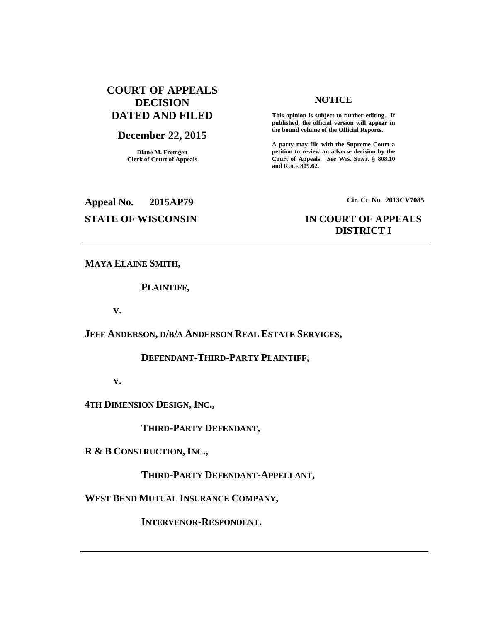## **COURT OF APPEALS DECISION DATED AND FILED**

## **December 22, 2015**

**Diane M. Fremgen Clerk of Court of Appeals**

#### **NOTICE**

**This opinion is subject to further editing. If published, the official version will appear in the bound volume of the Official Reports.** 

**A party may file with the Supreme Court a petition to review an adverse decision by the Court of Appeals.** *See* **WIS. STAT. § 808.10 and RULE 809.62.** 

# **Appeal No. 2015AP79 Cir. Ct. No. 2013CV7085**

## **STATE OF WISCONSIN IN COURT OF APPEALS DISTRICT I**

**MAYA ELAINE SMITH,**

**PLAINTIFF,**

**V.**

## **JEFF ANDERSON, D/B/A ANDERSON REAL ESTATE SERVICES,**

## **DEFENDANT-THIRD-PARTY PLAINTIFF,**

**V.**

**4TH DIMENSION DESIGN, INC.,**

**THIRD-PARTY DEFENDANT,**

**R & B CONSTRUCTION, INC.,**

**THIRD-PARTY DEFENDANT-APPELLANT,**

**WEST BEND MUTUAL INSURANCE COMPANY,**

**INTERVENOR-RESPONDENT.**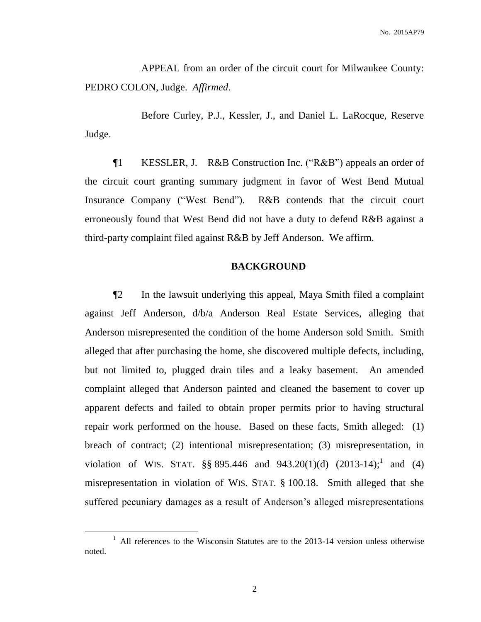APPEAL from an order of the circuit court for Milwaukee County: PEDRO COLON, Judge. *Affirmed*.

Before Curley, P.J., Kessler, J., and Daniel L. LaRocque, Reserve Judge.

¶1 KESSLER, J. R&B Construction Inc. ("R&B") appeals an order of the circuit court granting summary judgment in favor of West Bend Mutual Insurance Company ("West Bend"). R&B contends that the circuit court erroneously found that West Bend did not have a duty to defend R&B against a third-party complaint filed against R&B by Jeff Anderson. We affirm.

#### **BACKGROUND**

¶2 In the lawsuit underlying this appeal, Maya Smith filed a complaint against Jeff Anderson, d/b/a Anderson Real Estate Services, alleging that Anderson misrepresented the condition of the home Anderson sold Smith. Smith alleged that after purchasing the home, she discovered multiple defects, including, but not limited to, plugged drain tiles and a leaky basement. An amended complaint alleged that Anderson painted and cleaned the basement to cover up apparent defects and failed to obtain proper permits prior to having structural repair work performed on the house. Based on these facts, Smith alleged: (1) breach of contract; (2) intentional misrepresentation; (3) misrepresentation, in violation of WIS. STAT.  $\S$ § 895.446 and 943.20(1)(d) (2013-14);<sup>1</sup> and (4) misrepresentation in violation of WIS. STAT. § 100.18. Smith alleged that she suffered pecuniary damages as a result of Anderson's alleged misrepresentations

 $\overline{a}$ 

<sup>&</sup>lt;sup>1</sup> All references to the Wisconsin Statutes are to the 2013-14 version unless otherwise noted.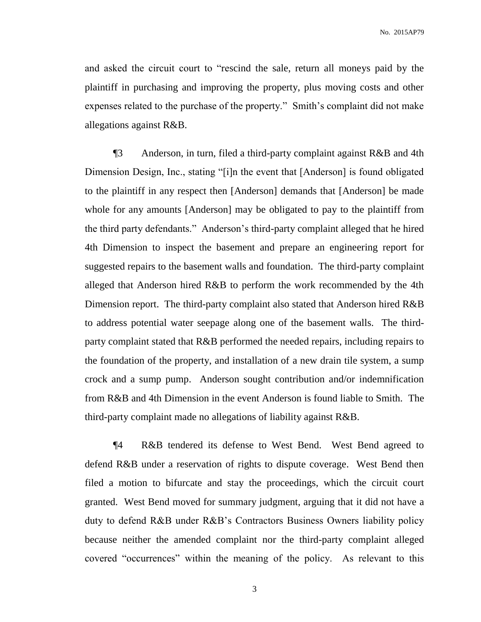and asked the circuit court to "rescind the sale, return all moneys paid by the plaintiff in purchasing and improving the property, plus moving costs and other expenses related to the purchase of the property." Smith's complaint did not make allegations against R&B.

¶3 Anderson, in turn, filed a third-party complaint against R&B and 4th Dimension Design, Inc., stating "[i]n the event that [Anderson] is found obligated to the plaintiff in any respect then [Anderson] demands that [Anderson] be made whole for any amounts [Anderson] may be obligated to pay to the plaintiff from the third party defendants." Anderson's third-party complaint alleged that he hired 4th Dimension to inspect the basement and prepare an engineering report for suggested repairs to the basement walls and foundation. The third-party complaint alleged that Anderson hired R&B to perform the work recommended by the 4th Dimension report. The third-party complaint also stated that Anderson hired R&B to address potential water seepage along one of the basement walls. The thirdparty complaint stated that R&B performed the needed repairs, including repairs to the foundation of the property, and installation of a new drain tile system, a sump crock and a sump pump. Anderson sought contribution and/or indemnification from R&B and 4th Dimension in the event Anderson is found liable to Smith. The third-party complaint made no allegations of liability against R&B.

¶4 R&B tendered its defense to West Bend. West Bend agreed to defend R&B under a reservation of rights to dispute coverage. West Bend then filed a motion to bifurcate and stay the proceedings, which the circuit court granted. West Bend moved for summary judgment, arguing that it did not have a duty to defend R&B under R&B's Contractors Business Owners liability policy because neither the amended complaint nor the third-party complaint alleged covered "occurrences" within the meaning of the policy. As relevant to this

3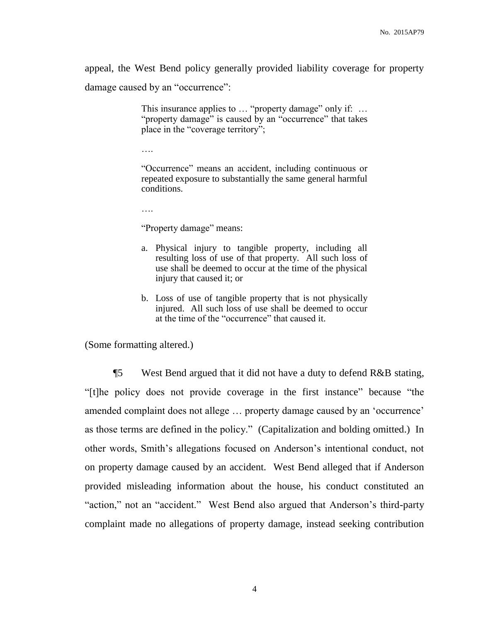appeal, the West Bend policy generally provided liability coverage for property damage caused by an "occurrence":

> This insurance applies to ... "property damage" only if: ... "property damage" is caused by an "occurrence" that takes place in the "coverage territory";

….

"Occurrence" means an accident, including continuous or repeated exposure to substantially the same general harmful conditions.

….

"Property damage" means:

- a. Physical injury to tangible property, including all resulting loss of use of that property. All such loss of use shall be deemed to occur at the time of the physical injury that caused it; or
- b. Loss of use of tangible property that is not physically injured. All such loss of use shall be deemed to occur at the time of the "occurrence" that caused it.

(Some formatting altered.)

¶5 West Bend argued that it did not have a duty to defend R&B stating, "[t]he policy does not provide coverage in the first instance" because "the amended complaint does not allege … property damage caused by an 'occurrence' as those terms are defined in the policy." (Capitalization and bolding omitted.) In other words, Smith's allegations focused on Anderson's intentional conduct, not on property damage caused by an accident. West Bend alleged that if Anderson provided misleading information about the house, his conduct constituted an "action," not an "accident." West Bend also argued that Anderson's third-party complaint made no allegations of property damage, instead seeking contribution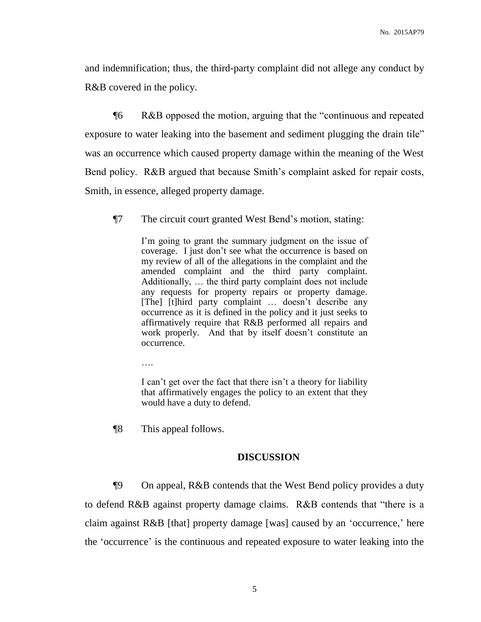and indemnification; thus, the third-party complaint did not allege any conduct by R&B covered in the policy.

¶6 R&B opposed the motion, arguing that the "continuous and repeated exposure to water leaking into the basement and sediment plugging the drain tile" was an occurrence which caused property damage within the meaning of the West Bend policy. R&B argued that because Smith's complaint asked for repair costs, Smith, in essence, alleged property damage.

¶7 The circuit court granted West Bend's motion, stating:

I'm going to grant the summary judgment on the issue of coverage. I just don't see what the occurrence is based on my review of all of the allegations in the complaint and the amended complaint and the third party complaint. Additionally, … the third party complaint does not include any requests for property repairs or property damage. [The] [t]hird party complaint ... doesn't describe any occurrence as it is defined in the policy and it just seeks to affirmatively require that R&B performed all repairs and work properly. And that by itself doesn't constitute an occurrence.

….

I can't get over the fact that there isn't a theory for liability that affirmatively engages the policy to an extent that they would have a duty to defend.

¶8 This appeal follows.

#### **DISCUSSION**

¶9 On appeal, R&B contends that the West Bend policy provides a duty to defend R&B against property damage claims. R&B contends that "there is a claim against R&B [that] property damage [was] caused by an 'occurrence,' here the 'occurrence' is the continuous and repeated exposure to water leaking into the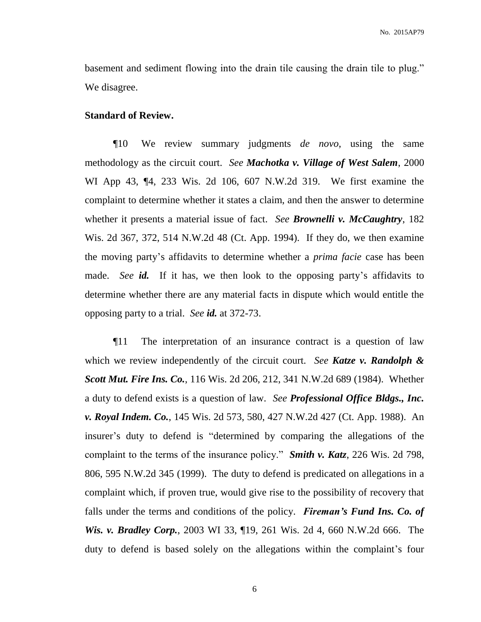basement and sediment flowing into the drain tile causing the drain tile to plug." We disagree.

#### **Standard of Review.**

¶10 We review summary judgments *de novo*, using the same methodology as the circuit court. *See Machotka v. Village of West Salem*, 2000 WI App 43, ¶4, 233 Wis. 2d 106, 607 N.W.2d 319. We first examine the complaint to determine whether it states a claim, and then the answer to determine whether it presents a material issue of fact. *See Brownelli v. McCaughtry*, 182 Wis. 2d 367, 372, 514 N.W.2d 48 (Ct. App. 1994). If they do, we then examine the moving party's affidavits to determine whether a *prima facie* case has been made. *See id.* If it has, we then look to the opposing party's affidavits to determine whether there are any material facts in dispute which would entitle the opposing party to a trial. *See id.* at 372-73.

¶11 The interpretation of an insurance contract is a question of law which we review independently of the circuit court. *See Katze v. Randolph & Scott Mut. Fire Ins. Co.*, 116 Wis. 2d 206, 212, 341 N.W.2d 689 (1984). Whether a duty to defend exists is a question of law. *See Professional Office Bldgs., Inc. v. Royal Indem. Co.*, 145 Wis. 2d 573, 580, 427 N.W.2d 427 (Ct. App. 1988). An insurer's duty to defend is "determined by comparing the allegations of the complaint to the terms of the insurance policy." *Smith v. Katz*, 226 Wis. 2d 798, 806, 595 N.W.2d 345 (1999). The duty to defend is predicated on allegations in a complaint which, if proven true, would give rise to the possibility of recovery that falls under the terms and conditions of the policy. *Fireman's Fund Ins. Co. of Wis. v. Bradley Corp.*, 2003 WI 33, ¶19, 261 Wis. 2d 4, 660 N.W.2d 666. The duty to defend is based solely on the allegations within the complaint's four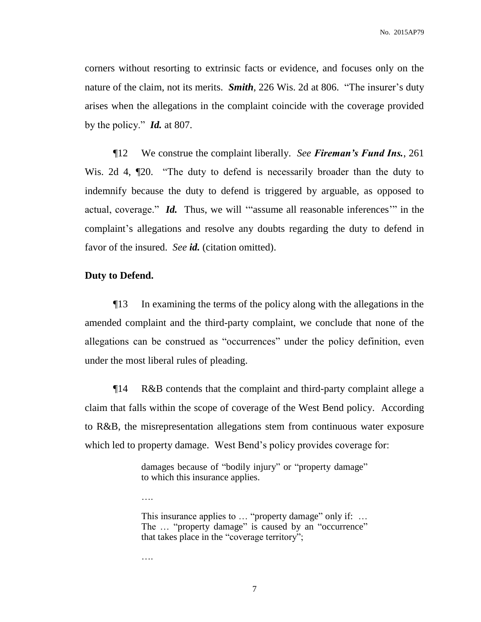corners without resorting to extrinsic facts or evidence, and focuses only on the nature of the claim, not its merits. *Smith*, 226 Wis. 2d at 806. "The insurer's duty arises when the allegations in the complaint coincide with the coverage provided by the policy." *Id.* at 807.

¶12 We construe the complaint liberally. *See Fireman's Fund Ins.*, 261 Wis. 2d 4,  $\mathbb{Z}$ 20. "The duty to defend is necessarily broader than the duty to indemnify because the duty to defend is triggered by arguable, as opposed to actual, coverage." *Id.* Thus, we will '"assume all reasonable inferences'" in the complaint's allegations and resolve any doubts regarding the duty to defend in favor of the insured. *See id.* (citation omitted).

### **Duty to Defend.**

¶13 In examining the terms of the policy along with the allegations in the amended complaint and the third-party complaint, we conclude that none of the allegations can be construed as "occurrences" under the policy definition, even under the most liberal rules of pleading.

¶14 R&B contends that the complaint and third-party complaint allege a claim that falls within the scope of coverage of the West Bend policy. According to R&B, the misrepresentation allegations stem from continuous water exposure which led to property damage. West Bend's policy provides coverage for:

> damages because of "bodily injury" or "property damage" to which this insurance applies.

> This insurance applies to ... "property damage" only if: ... The ... "property damage" is caused by an "occurrence" that takes place in the "coverage territory";

….

….

7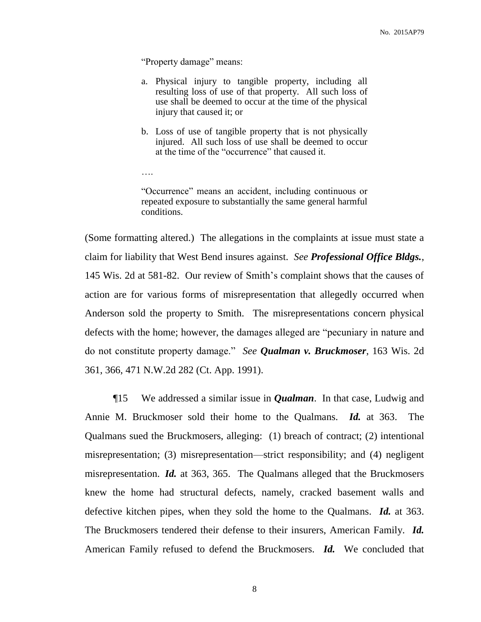"Property damage" means:

….

- a. Physical injury to tangible property, including all resulting loss of use of that property. All such loss of use shall be deemed to occur at the time of the physical injury that caused it; or
- b. Loss of use of tangible property that is not physically injured. All such loss of use shall be deemed to occur at the time of the "occurrence" that caused it.

"Occurrence" means an accident, including continuous or repeated exposure to substantially the same general harmful conditions.

(Some formatting altered.) The allegations in the complaints at issue must state a claim for liability that West Bend insures against. *See Professional Office Bldgs.*, 145 Wis. 2d at 581-82. Our review of Smith's complaint shows that the causes of action are for various forms of misrepresentation that allegedly occurred when Anderson sold the property to Smith. The misrepresentations concern physical defects with the home; however, the damages alleged are "pecuniary in nature and do not constitute property damage." *See Qualman v. Bruckmoser*, 163 Wis. 2d 361, 366, 471 N.W.2d 282 (Ct. App. 1991).

¶15 We addressed a similar issue in *Qualman*. In that case, Ludwig and Annie M. Bruckmoser sold their home to the Qualmans. *Id.* at 363. The Qualmans sued the Bruckmosers, alleging: (1) breach of contract; (2) intentional misrepresentation; (3) misrepresentation—strict responsibility; and (4) negligent misrepresentation. *Id.* at 363, 365. The Qualmans alleged that the Bruckmosers knew the home had structural defects, namely, cracked basement walls and defective kitchen pipes, when they sold the home to the Qualmans. *Id.* at 363. The Bruckmosers tendered their defense to their insurers, American Family. *Id.* American Family refused to defend the Bruckmosers. *Id.* We concluded that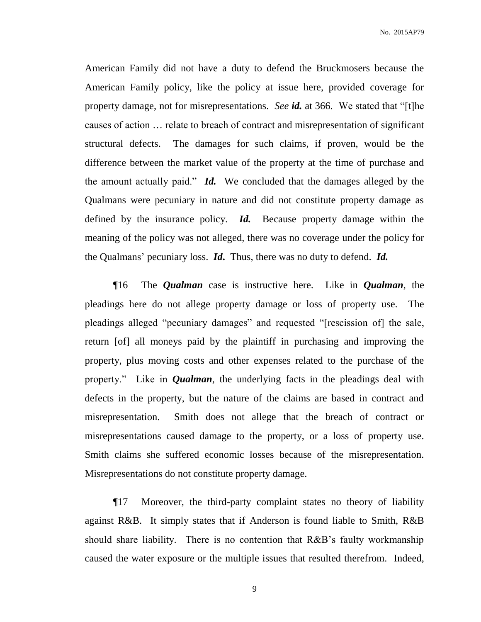American Family did not have a duty to defend the Bruckmosers because the American Family policy, like the policy at issue here, provided coverage for property damage, not for misrepresentations. *See id.* at 366. We stated that "[t]he causes of action … relate to breach of contract and misrepresentation of significant structural defects. The damages for such claims, if proven, would be the difference between the market value of the property at the time of purchase and the amount actually paid." *Id.* We concluded that the damages alleged by the Qualmans were pecuniary in nature and did not constitute property damage as defined by the insurance policy. *Id.* Because property damage within the meaning of the policy was not alleged, there was no coverage under the policy for the Qualmans' pecuniary loss. *Id***.** Thus, there was no duty to defend. *Id.*

¶16 The *Qualman* case is instructive here. Like in *Qualman*, the pleadings here do not allege property damage or loss of property use. The pleadings alleged "pecuniary damages" and requested "[rescission of] the sale, return [of] all moneys paid by the plaintiff in purchasing and improving the property, plus moving costs and other expenses related to the purchase of the property." Like in *Qualman*, the underlying facts in the pleadings deal with defects in the property, but the nature of the claims are based in contract and misrepresentation. Smith does not allege that the breach of contract or misrepresentations caused damage to the property, or a loss of property use. Smith claims she suffered economic losses because of the misrepresentation. Misrepresentations do not constitute property damage.

¶17 Moreover, the third-party complaint states no theory of liability against R&B. It simply states that if Anderson is found liable to Smith, R&B should share liability. There is no contention that R&B's faulty workmanship caused the water exposure or the multiple issues that resulted therefrom. Indeed,

9